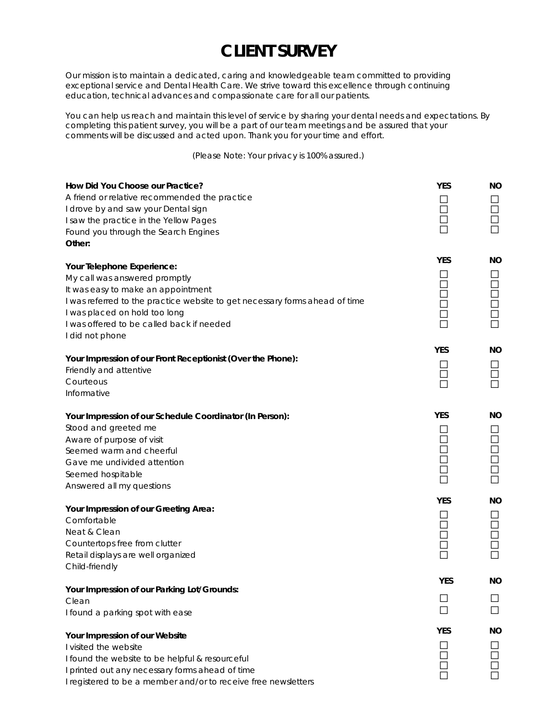## **CLIENT SURVEY**

Our mission is to maintain a dedicated, caring and knowledgeable team committed to providing exceptional service and Dental Health Care. We strive toward this excellence through continuing education, technical advances and compassionate care for all our patients.

You can help us reach and maintain this level of service by sharing your dental needs and expectations. By completing this patient survey, you will be a part of our team meetings and be assured that your comments will be discussed and acted upon. Thank you for your time and effort.

(Please Note: Your privacy is 100% assured.)

| How Did You Choose our Practice?<br>A friend or relative recommended the practice<br>I drove by and saw your Dental sign<br>I saw the practice in the Yellow Pages<br>Found you through the Search Engines<br>Other:                                                              | <b>YES</b> | <b>NO</b><br>$\Box$<br>$\Box$<br>$\Box$ |
|-----------------------------------------------------------------------------------------------------------------------------------------------------------------------------------------------------------------------------------------------------------------------------------|------------|-----------------------------------------|
| Your Telephone Experience:<br>My call was answered promptly<br>It was easy to make an appointment<br>I was referred to the practice website to get necessary forms ahead of time<br>I was placed on hold too long<br>I was offered to be called back if needed<br>I did not phone | <b>YES</b> | NΟ<br>⊔<br>$\Box$<br>$\Box$<br>ŎŎ       |
| Your Impression of our Front Receptionist (Over the Phone):<br>Friendly and attentive<br>Courteous<br>Informative                                                                                                                                                                 | <b>YES</b> | <b>NO</b><br>$\Box$<br>$\Box$           |
| Your Impression of our Schedule Coordinator (In Person):<br>Stood and greeted me<br>Aware of purpose of visit<br>Seemed warm and cheerful<br>Gave me undivided attention<br>Seemed hospitable<br>Answered all my questions                                                        | <b>YES</b> | NO.<br>$\Box$<br>$\Box$<br>ŏ<br>$\Box$  |
| Your Impression of our Greeting Area:<br>Comfortable<br>Neat & Clean<br>Countertops free from clutter<br>Retail displays are well organized<br>Child-friendly                                                                                                                     | <b>YES</b> | <b>NO</b><br>$\Box$<br>Ħ<br>$\Box$      |
| Your Impression of our Parking Lot/Grounds:<br>Clean<br>I found a parking spot with ease                                                                                                                                                                                          | <b>YES</b> | NΟ                                      |
| Your Impression of our Website<br>I visited the website<br>I found the website to be helpful & resourceful<br>I printed out any necessary forms ahead of time<br>I registered to be a member and/or to receive free newsletters                                                   | <b>YES</b> | NΟ                                      |